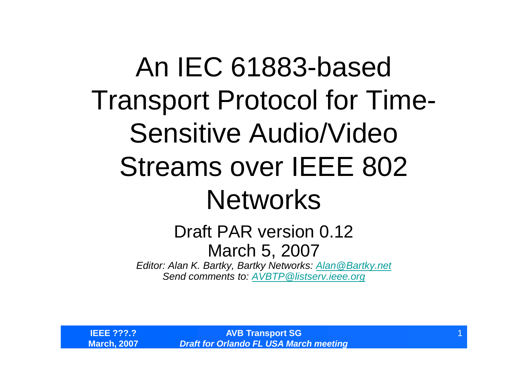## An IEC 61883-based Transport Protocol for Time-Sensitive Audio/Video Streams over IEEE 802 Networks

#### Draft PAR version 0.12 March 5, 2007

*Editor: Alan K. Bartky, Bartky Networks: Alan@Bartky.net Send comments to: AVBTP@listserv.ieee.org*

**IEEE ???.? March, 2007**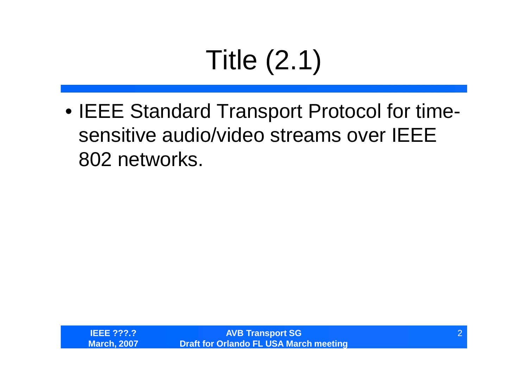# Title (2.1)

•IEEE Standard Transport Protocol for timesensitive audio/video streams over IEEE 802 networks.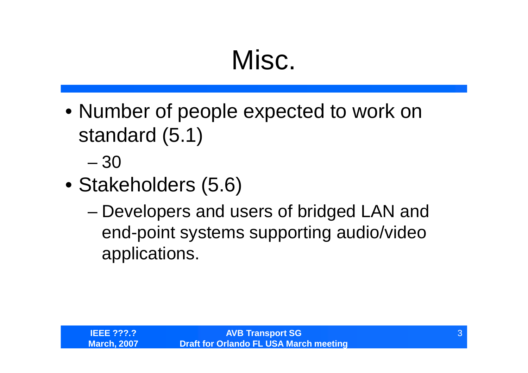#### Misc.

- Number of people expected to work on standard (5.1)
	- –30
- Stakeholders (5.6)
	- –Developers and users of bridged LAN and end-point systems supporting audio/video applications.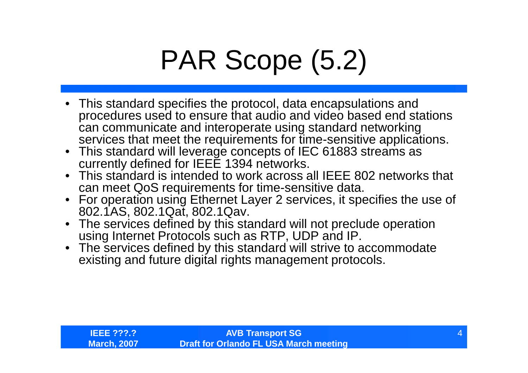## PAR Scope (5.2)

- This standard specifies the protocol, data encapsulations and procedures used to ensure that audio and video based end stations can communicate and interoperate using standard networking services that meet the requirements for time-sensitive applications.
- This standard will leverage concepts of IEC 61883 streams as currently defined for IEEE 1394 networks.
- This standard is intended to work across all IEEE 802 networks that can meet QoS requirements for time-sensitive data.
- For operation using Ethernet Layer 2 services, it specifies the use of 802.1AS, 802.1Qat, 802.1Qav.
- The services defined by this standard will not preclude operation using Internet Protocols such as RTP, UDP and IP.
- The services defined by this standard will strive to accommodate existing and future digital rights management protocols.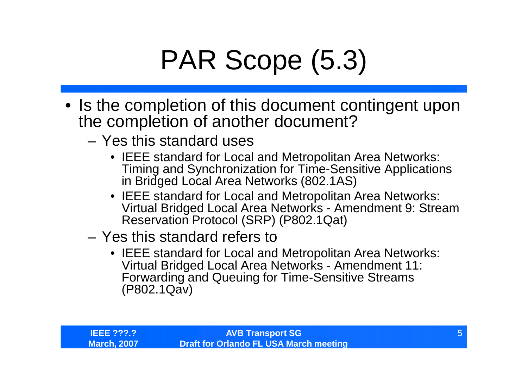## PAR Scope (5.3)

- Is the completion of this document contingent upon the completion of another document?
	- Yes this standard uses
		- •IEEE standard for Local and Metropolitan Area Networks: Timing and Synchronization for Time-Sensitive Applications in Bridged Local Area Networks (802.1AS)
		- •IEEE standard for Local and Metropolitan Area Networks: Virtual Bridged Local Area Networks - Amendment 9: Stream Reservation Protocol (SRP) (P802.1Qat)
	- Yes this standard refers to
		- •IEEE standard for Local and Metropolitan Area Networks: Virtual Bridged Local Area Networks - Amendment 11: Forwarding and Queuing for Time-Sensitive Streams (P802.1Qav)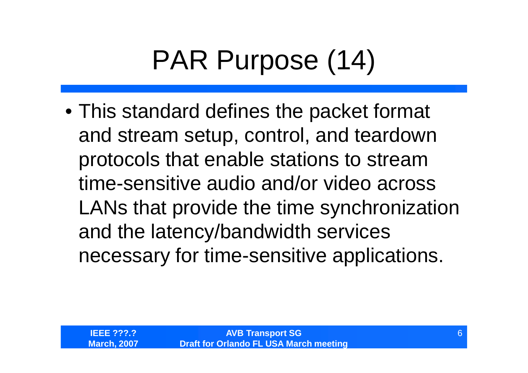## PAR Purpose (14)

•This standard defines the packet format and stream setup, control, and teardown protocols that enable stations to stream time-sensitive audio and/or video across LANs that provide the time synchronization and the latency/bandwidth services necessary for time-sensitive applications.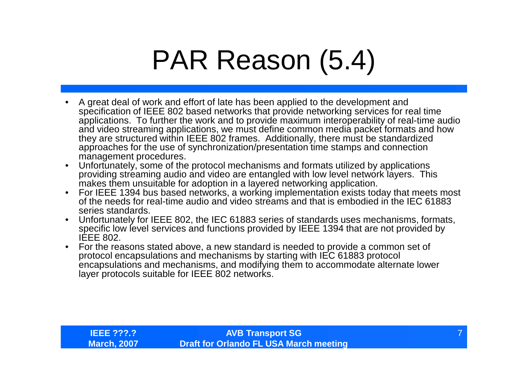#### PAR Reason (5.4)

- A great deal of work and effort of late has been applied to the development and specification of IEEE 802 based networks that provide networking services for real time applications. To further the work and to provide maximum interoperability of real-time audio and video streaming applications, we must define common media packet formats and how they are structured within IEEE 802 frames. Additionally, there must be standardized approaches for the use of synchronization/presentation time stamps and connection management procedures.
- Unfortunately, some of the protocol mechanisms and formats utilized by applications providing streaming audio and video are entangled with low level network layers. This makes them unsuitable for adoption in a layered networking application.
- For IEEE 1394 bus based networks, a working implementation exists today that meets most of the needs for real-time audio and video streams and that is embodied in the IEC 61883 series standards.
- Unfortunately for IEEE 802, the IEC 61883 series of standards uses mechanisms, formats, specific low level services and functions provided by IEEE 1394 that are not provided by IEEE 802.
- For the reasons stated above, a new standard is needed to provide a common set of protocol encapsulations and mechanisms by starting with IEC 61883 protocol encapsulations and mechanisms, and modifying them to accommodate alternate lower layer protocols suitable for IEEE 802 networks.